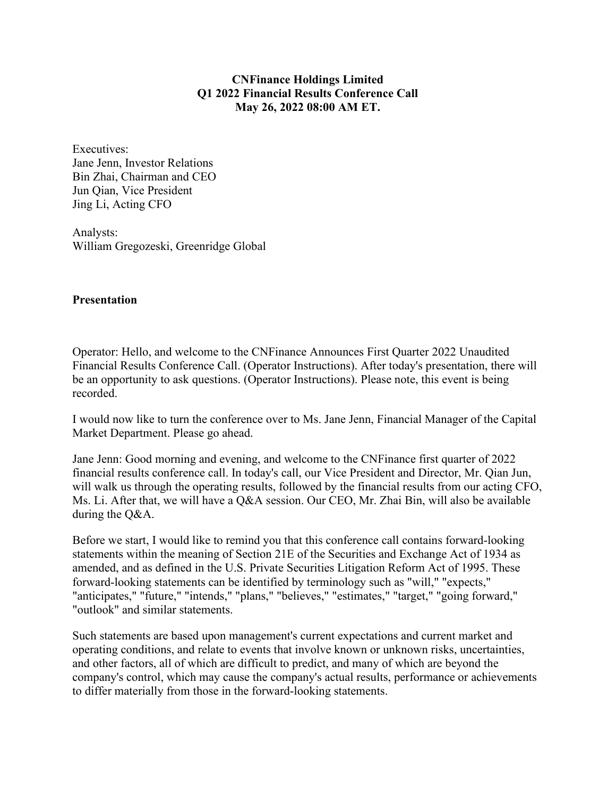## **CNFinance Holdings Limited Q1 2022 Financial Results Conference Call May 26, 2022 08:00 AM ET.**

Executives: Jane Jenn, Investor Relations Bin Zhai, Chairman and CEO Jun Qian, Vice President Jing Li, Acting CFO

Analysts: William Gregozeski, Greenridge Global

## **Presentation**

Operator: Hello, and welcome to the CNFinance Announces First Quarter 2022 Unaudited Financial Results Conference Call. (Operator Instructions). After today's presentation, there will be an opportunity to ask questions. (Operator Instructions). Please note, this event is being recorded.

I would now like to turn the conference over to Ms. Jane Jenn, Financial Manager of the Capital Market Department. Please go ahead.

Jane Jenn: Good morning and evening, and welcome to the CNFinance first quarter of 2022 financial results conference call. In today's call, our Vice President and Director, Mr. Qian Jun, will walk us through the operating results, followed by the financial results from our acting CFO, Ms. Li. After that, we will have a Q&A session. Our CEO, Mr. Zhai Bin, will also be available during the Q&A.

Before we start, I would like to remind you that this conference call contains forward-looking statements within the meaning of Section 21E of the Securities and Exchange Act of 1934 as amended, and as defined in the U.S. Private Securities Litigation Reform Act of 1995. These forward-looking statements can be identified by terminology such as "will," "expects," "anticipates," "future," "intends," "plans," "believes," "estimates," "target," "going forward," "outlook" and similar statements.

Such statements are based upon management's current expectations and current market and operating conditions, and relate to events that involve known or unknown risks, uncertainties, and other factors, all of which are difficult to predict, and many of which are beyond the company's control, which may cause the company's actual results, performance or achievements to differ materially from those in the forward-looking statements.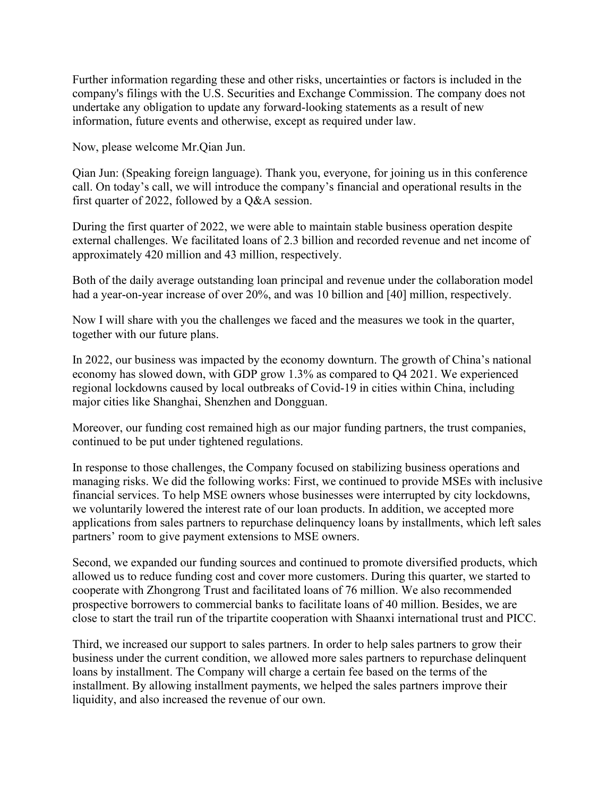Further information regarding these and other risks, uncertainties or factors is included in the company's filings with the U.S. Securities and Exchange Commission. The company does not undertake any obligation to update any forward-looking statements as a result of new information, future events and otherwise, except as required under law.

Now, please welcome Mr.Qian Jun.

Qian Jun: (Speaking foreign language). Thank you, everyone, for joining us in this conference call. On today's call, we will introduce the company's financial and operational results in the first quarter of 2022, followed by a Q&A session.

During the first quarter of 2022, we were able to maintain stable business operation despite external challenges. We facilitated loans of 2.3 billion and recorded revenue and net income of approximately 420 million and 43 million, respectively.

Both of the daily average outstanding loan principal and revenue under the collaboration model had a year-on-year increase of over 20%, and was 10 billion and [40] million, respectively.

Now I will share with you the challenges we faced and the measures we took in the quarter, together with our future plans.

In 2022, our business was impacted by the economy downturn. The growth of China's national economy has slowed down, with GDP grow 1.3% as compared to Q4 2021. We experienced regional lockdowns caused by local outbreaks of Covid-19 in cities within China, including major cities like Shanghai, Shenzhen and Dongguan.

Moreover, our funding cost remained high as our major funding partners, the trust companies, continued to be put under tightened regulations.

In response to those challenges, the Company focused on stabilizing business operations and managing risks. We did the following works: First, we continued to provide MSEs with inclusive financial services. To help MSE owners whose businesses were interrupted by city lockdowns, we voluntarily lowered the interest rate of our loan products. In addition, we accepted more applications from sales partners to repurchase delinquency loans by installments, which left sales partners' room to give payment extensions to MSE owners.

Second, we expanded our funding sources and continued to promote diversified products, which allowed us to reduce funding cost and cover more customers. During this quarter, we started to cooperate with Zhongrong Trust and facilitated loans of 76 million. We also recommended prospective borrowers to commercial banks to facilitate loans of 40 million. Besides, we are close to start the trail run of the tripartite cooperation with Shaanxi international trust and PICC.

Third, we increased our support to sales partners. In order to help sales partners to grow their business under the current condition, we allowed more sales partners to repurchase delinquent loans by installment. The Company will charge a certain fee based on the terms of the installment. By allowing installment payments, we helped the sales partners improve their liquidity, and also increased the revenue of our own.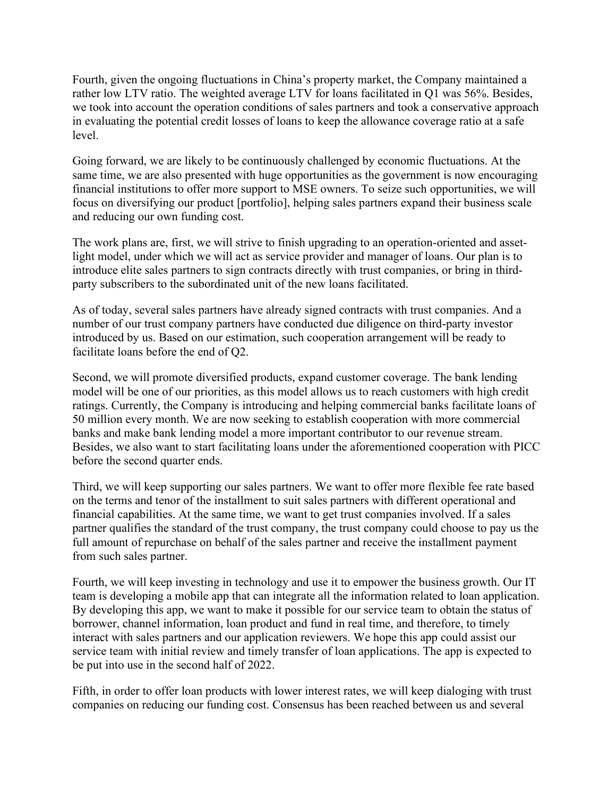Fourth, given the ongoing fluctuations in China's property market, the Company maintained a rather low LTV ratio. The weighted average LTV for loans facilitated in Q1 was 56%. Besides, we took into account the operation conditions of sales partners and took a conservative approach in evaluating the potential credit losses of loans to keep the allowance coverage ratio at a safe level.

Going forward, we are likely to be continuously challenged by economic fluctuations. At the same time, we are also presented with huge opportunities as the government is now encouraging financial institutions to offer more support to MSE owners. To seize such opportunities, we will focus on diversifying our product [portfolio], helping sales partners expand their business scale and reducing our own funding cost.

The work plans are, first, we will strive to finish upgrading to an operation-oriented and assetlight model, under which we will act as service provider and manager of loans. Our plan is to introduce elite sales partners to sign contracts directly with trust companies, or bring in thirdparty subscribers to the subordinated unit of the new loans facilitated.

As of today, several sales partners have already signed contracts with trust companies. And a number of our trust company partners have conducted due diligence on third-party investor introduced by us. Based on our estimation, such cooperation arrangement will be ready to facilitate loans before the end of Q2.

Second, we will promote diversified products, expand customer coverage. The bank lending model will be one of our priorities, as this model allows us to reach customers with high credit ratings. Currently, the Company is introducing and helping commercial banks facilitate loans of 50 million every month. We are now seeking to establish cooperation with more commercial banks and make bank lending model a more important contributor to our revenue stream. Besides, we also want to start facilitating loans under the aforementioned cooperation with PICC before the second quarter ends.

Third, we will keep supporting our sales partners. We want to offer more flexible fee rate based on the terms and tenor of the installment to suit sales partners with different operational and financial capabilities. At the same time, we want to get trust companies involved. If a sales partner qualifies the standard of the trust company, the trust company could choose to pay us the full amount of repurchase on behalf of the sales partner and receive the installment payment from such sales partner.

Fourth, we will keep investing in technology and use it to empower the business growth. Our IT team is developing a mobile app that can integrate all the information related to loan application. By developing this app, we want to make it possible for our service team to obtain the status of borrower, channel information, loan product and fund in real time, and therefore, to timely interact with sales partners and our application reviewers. We hope this app could assist our service team with initial review and timely transfer of loan applications. The app is expected to be put into use in the second half of 2022.

Fifth, in order to offer loan products with lower interest rates, we will keep dialoging with trust companies on reducing our funding cost. Consensus has been reached between us and several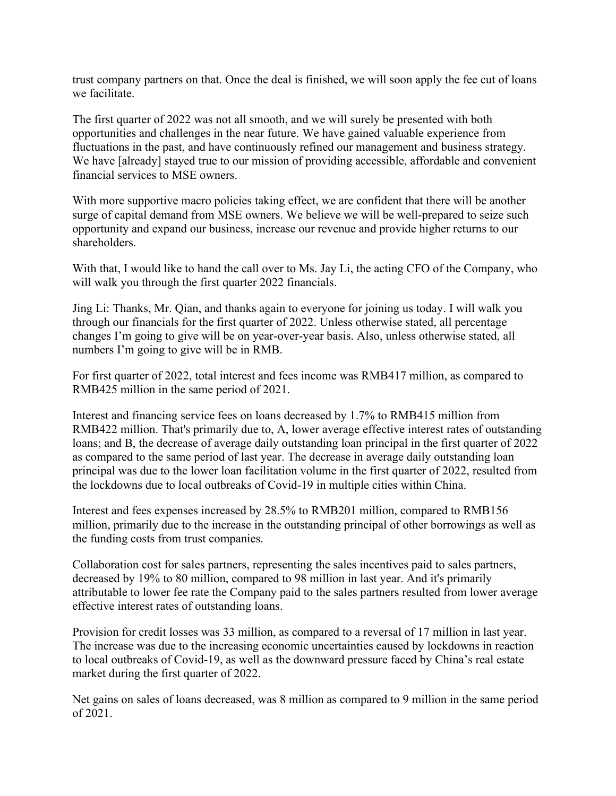trust company partners on that. Once the deal is finished, we will soon apply the fee cut of loans we facilitate.

The first quarter of 2022 was not all smooth, and we will surely be presented with both opportunities and challenges in the near future. We have gained valuable experience from fluctuations in the past, and have continuously refined our management and business strategy. We have [already] stayed true to our mission of providing accessible, affordable and convenient financial services to MSE owners.

With more supportive macro policies taking effect, we are confident that there will be another surge of capital demand from MSE owners. We believe we will be well-prepared to seize such opportunity and expand our business, increase our revenue and provide higher returns to our shareholders.

With that, I would like to hand the call over to Ms. Jay Li, the acting CFO of the Company, who will walk you through the first quarter 2022 financials.

Jing Li: Thanks, Mr. Qian, and thanks again to everyone for joining us today. I will walk you through our financials for the first quarter of 2022. Unless otherwise stated, all percentage changes I'm going to give will be on year-over-year basis. Also, unless otherwise stated, all numbers I'm going to give will be in RMB.

For first quarter of 2022, total interest and fees income was RMB417 million, as compared to RMB425 million in the same period of 2021.

Interest and financing service fees on loans decreased by 1.7% to RMB415 million from RMB422 million. That's primarily due to, A, lower average effective interest rates of outstanding loans; and B, the decrease of average daily outstanding loan principal in the first quarter of 2022 as compared to the same period of last year. The decrease in average daily outstanding loan principal was due to the lower loan facilitation volume in the first quarter of 2022, resulted from the lockdowns due to local outbreaks of Covid-19 in multiple cities within China.

Interest and fees expenses increased by 28.5% to RMB201 million, compared to RMB156 million, primarily due to the increase in the outstanding principal of other borrowings as well as the funding costs from trust companies.

Collaboration cost for sales partners, representing the sales incentives paid to sales partners, decreased by 19% to 80 million, compared to 98 million in last year. And it's primarily attributable to lower fee rate the Company paid to the sales partners resulted from lower average effective interest rates of outstanding loans.

Provision for credit losses was 33 million, as compared to a reversal of 17 million in last year. The increase was due to the increasing economic uncertainties caused by lockdowns in reaction to local outbreaks of Covid-19, as well as the downward pressure faced by China's real estate market during the first quarter of 2022.

Net gains on sales of loans decreased, was 8 million as compared to 9 million in the same period of 2021.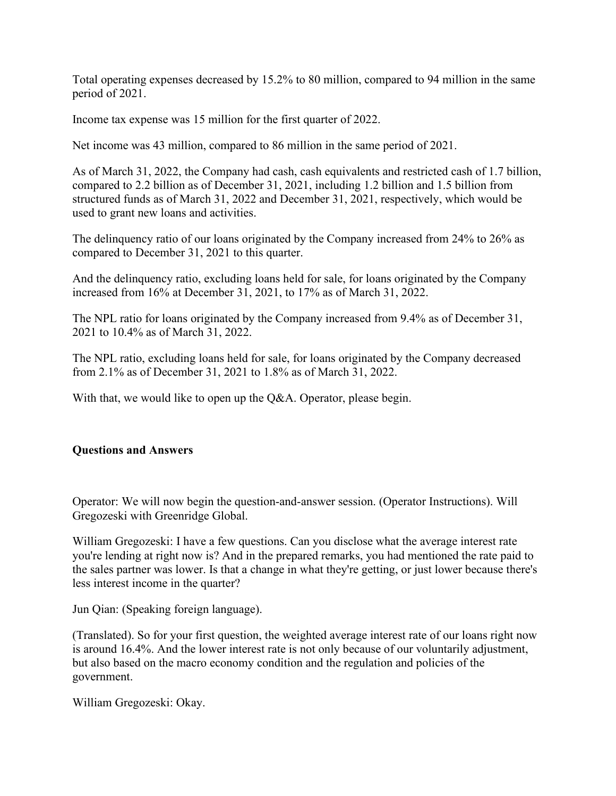Total operating expenses decreased by 15.2% to 80 million, compared to 94 million in the same period of 2021.

Income tax expense was 15 million for the first quarter of 2022.

Net income was 43 million, compared to 86 million in the same period of 2021.

As of March 31, 2022, the Company had cash, cash equivalents and restricted cash of 1.7 billion, compared to 2.2 billion as of December 31, 2021, including 1.2 billion and 1.5 billion from structured funds as of March 31, 2022 and December 31, 2021, respectively, which would be used to grant new loans and activities.

The delinquency ratio of our loans originated by the Company increased from 24% to 26% as compared to December 31, 2021 to this quarter.

And the delinquency ratio, excluding loans held for sale, for loans originated by the Company increased from 16% at December 31, 2021, to 17% as of March 31, 2022.

The NPL ratio for loans originated by the Company increased from 9.4% as of December 31, 2021 to 10.4% as of March 31, 2022.

The NPL ratio, excluding loans held for sale, for loans originated by the Company decreased from 2.1% as of December 31, 2021 to 1.8% as of March 31, 2022.

With that, we would like to open up the Q&A. Operator, please begin.

## **Questions and Answers**

Operator: We will now begin the question-and-answer session. (Operator Instructions). Will Gregozeski with Greenridge Global.

William Gregozeski: I have a few questions. Can you disclose what the average interest rate you're lending at right now is? And in the prepared remarks, you had mentioned the rate paid to the sales partner was lower. Is that a change in what they're getting, or just lower because there's less interest income in the quarter?

Jun Qian: (Speaking foreign language).

(Translated). So for your first question, the weighted average interest rate of our loans right now is around 16.4%. And the lower interest rate is not only because of our voluntarily adjustment, but also based on the macro economy condition and the regulation and policies of the government.

William Gregozeski: Okay.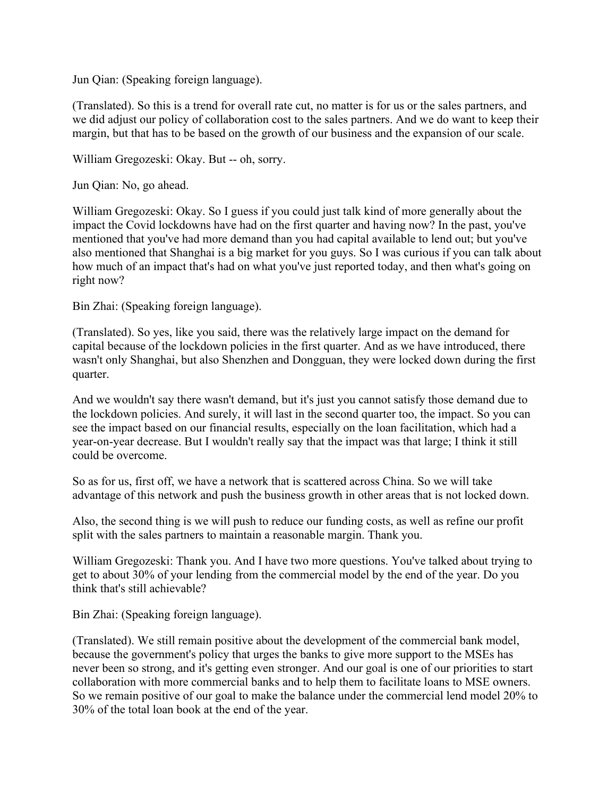Jun Qian: (Speaking foreign language).

(Translated). So this is a trend for overall rate cut, no matter is for us or the sales partners, and we did adjust our policy of collaboration cost to the sales partners. And we do want to keep their margin, but that has to be based on the growth of our business and the expansion of our scale.

William Gregozeski: Okay. But -- oh, sorry.

Jun Qian: No, go ahead.

William Gregozeski: Okay. So I guess if you could just talk kind of more generally about the impact the Covid lockdowns have had on the first quarter and having now? In the past, you've mentioned that you've had more demand than you had capital available to lend out; but you've also mentioned that Shanghai is a big market for you guys. So I was curious if you can talk about how much of an impact that's had on what you've just reported today, and then what's going on right now?

Bin Zhai: (Speaking foreign language).

(Translated). So yes, like you said, there was the relatively large impact on the demand for capital because of the lockdown policies in the first quarter. And as we have introduced, there wasn't only Shanghai, but also Shenzhen and Dongguan, they were locked down during the first quarter.

And we wouldn't say there wasn't demand, but it's just you cannot satisfy those demand due to the lockdown policies. And surely, it will last in the second quarter too, the impact. So you can see the impact based on our financial results, especially on the loan facilitation, which had a year-on-year decrease. But I wouldn't really say that the impact was that large; I think it still could be overcome.

So as for us, first off, we have a network that is scattered across China. So we will take advantage of this network and push the business growth in other areas that is not locked down.

Also, the second thing is we will push to reduce our funding costs, as well as refine our profit split with the sales partners to maintain a reasonable margin. Thank you.

William Gregozeski: Thank you. And I have two more questions. You've talked about trying to get to about 30% of your lending from the commercial model by the end of the year. Do you think that's still achievable?

Bin Zhai: (Speaking foreign language).

(Translated). We still remain positive about the development of the commercial bank model, because the government's policy that urges the banks to give more support to the MSEs has never been so strong, and it's getting even stronger. And our goal is one of our priorities to start collaboration with more commercial banks and to help them to facilitate loans to MSE owners. So we remain positive of our goal to make the balance under the commercial lend model 20% to 30% of the total loan book at the end of the year.